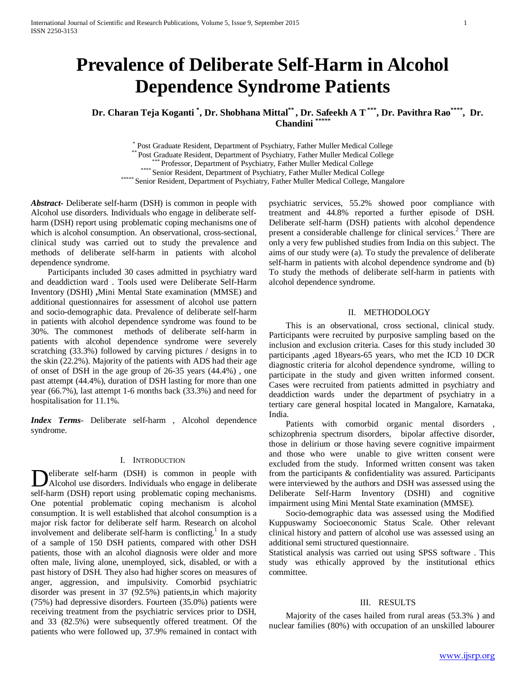# **Prevalence of Deliberate Self-Harm in Alcohol Dependence Syndrome Patients**

**Dr. Charan Teja Koganti \* , Dr. Shobhana Mittal\*\* , Dr. Safeekh A T\*\*\*, Dr. Pavithra Rao\*\*\*\*, Dr. Chandini \*\*\*\*\***

\* Post Graduate Resident, Department of Psychiatry, Father Muller Medical College<br>\*\* Post Graduate Resident, Department of Psychiatry, Father Muller Medical College<br>\*\*\*\* Professor, Department of Psychiatry, Father Muller M

*Abstract***-** Deliberate self-harm (DSH) is common in people with Alcohol use disorders. Individuals who engage in deliberate selfharm (DSH) report using problematic coping mechanisms one of which is alcohol consumption. An observational, cross-sectional, clinical study was carried out to study the prevalence and methods of deliberate self-harm in patients with alcohol dependence syndrome.

 Participants included 30 cases admitted in psychiatry ward and deaddiction ward . Tools used were Deliberate Self-Harm Inventory (DSHI) **,**Mini Mental State examination (MMSE) and additional questionnaires for assessment of alcohol use pattern and socio-demographic data. Prevalence of deliberate self-harm in patients with alcohol dependence syndrome was found to be 30%. The commonest methods of deliberate self-harm in patients with alcohol dependence syndrome were severely scratching (33.3%) followed by carving pictures / designs in to the skin (22.2%). Majority of the patients with ADS had their age of onset of DSH in the age group of 26-35 years (44.4%) , one past attempt (44.4%), duration of DSH lasting for more than one year (66.7%), last attempt 1-6 months back (33.3%) and need for hospitalisation for 11.1%.

*Index Terms*- Deliberate self-harm , Alcohol dependence syndrome.

## I. INTRODUCTION

eliberate self-harm (DSH) is common in people with Deliberate self-harm (DSH) is common in people with Alcohol use disorders. Individuals who engage in deliberate self-harm (DSH) report using problematic coping mechanisms. One potential problematic coping mechanism is alcohol consumption. It is well established that alcohol consumption is a major risk factor for deliberate self harm. Research on alcohol involvement and deliberate self-harm is conflicting.<sup>1</sup> In a study of a sample of 150 DSH patients, compared with other DSH patients, those with an alcohol diagnosis were older and more often male, living alone, unemployed, sick, disabled, or with a past history of DSH. They also had higher scores on measures of anger, aggression, and impulsivity. Comorbid psychiatric disorder was present in 37 (92.5%) patients,in which majority (75%) had depressive disorders. Fourteen (35.0%) patients were receiving treatment from the psychiatric services prior to DSH, and 33 (82.5%) were subsequently offered treatment. Of the patients who were followed up, 37.9% remained in contact with

psychiatric services, 55.2% showed poor compliance with treatment and 44.8% reported a further episode of DSH. Deliberate self-harm (DSH) patients with alcohol dependence present a considerable challenge for clinical services.<sup>2</sup> There are only a very few published studies from India on this subject. The aims of our study were (a). To study the prevalence of deliberate self-harm in patients with alcohol dependence syndrome and (b) To study the methods of deliberate self-harm in patients with alcohol dependence syndrome.

## II. METHODOLOGY

 This is an observational, cross sectional, clinical study. Participants were recruited by purposive sampling based on the inclusion and exclusion criteria. Cases for this study included 30 participants ,aged 18years-65 years, who met the ICD 10 DCR diagnostic criteria for alcohol dependence syndrome, willing to participate in the study and given written informed consent. Cases were recruited from patients admitted in psychiatry and deaddiction wards under the department of psychiatry in a tertiary care general hospital located in Mangalore, Karnataka, India.

 Patients with comorbid organic mental disorders , schizophrenia spectrum disorders, bipolar affective disorder, those in delirium or those having severe cognitive impairment and those who were unable to give written consent were excluded from the study. Informed written consent was taken from the participants & confidentiality was assured. Participants were interviewed by the authors and DSH was assessed using the Deliberate Self-Harm Inventory (DSHI) and cognitive impairment using Mini Mental State examination (MMSE).

 Socio-demographic data was assessed using the Modified Kuppuswamy Socioeconomic Status Scale. Other relevant clinical history and pattern of alcohol use was assessed using an additional semi structured questionnaire.

Statistical analysis was carried out using SPSS software . This study was ethically approved by the institutional ethics committee.

#### III. RESULTS

 Majority of the cases hailed from rural areas (53.3% ) and nuclear families (80%) with occupation of an unskilled labourer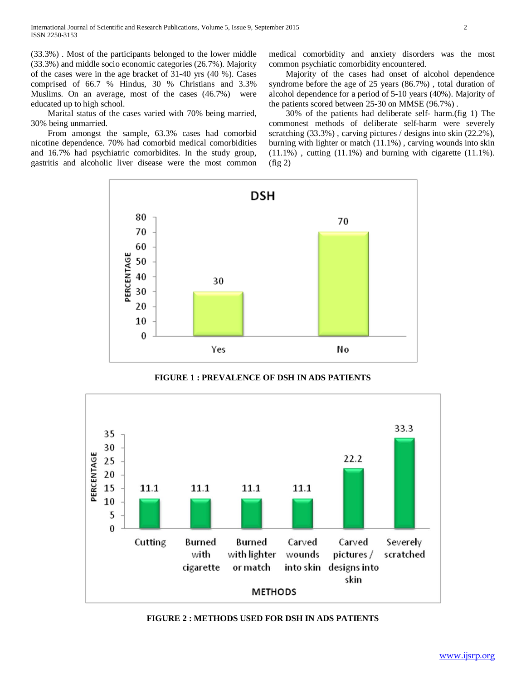(33.3%) . Most of the participants belonged to the lower middle (33.3%) and middle socio economic categories (26.7%). Majority of the cases were in the age bracket of 31-40 yrs (40 %). Cases comprised of 66.7 % Hindus, 30 % Christians and 3.3% Muslims. On an average, most of the cases (46.7%) were educated up to high school.

 Marital status of the cases varied with 70% being married, 30% being unmarried.

 From amongst the sample, 63.3% cases had comorbid nicotine dependence. 70% had comorbid medical comorbidities and 16.7% had psychiatric comorbidites. In the study group, gastritis and alcoholic liver disease were the most common medical comorbidity and anxiety disorders was the most common psychiatic comorbidity encountered.

 Majority of the cases had onset of alcohol dependence syndrome before the age of 25 years (86.7%) , total duration of alcohol dependence for a period of 5-10 years (40%). Majority of the patients scored between 25-30 on MMSE (96.7%) .

 30% of the patients had deliberate self- harm.(fig 1) The commonest methods of deliberate self-harm were severely scratching (33.3%) , carving pictures / designs into skin (22.2%), burning with lighter or match (11.1%) , carving wounds into skin (11.1%) , cutting (11.1%) and burning with cigarette (11.1%).  $(fig 2)$ 



**FIGURE 1 : PREVALENCE OF DSH IN ADS PATIENTS**



**FIGURE 2 : METHODS USED FOR DSH IN ADS PATIENTS**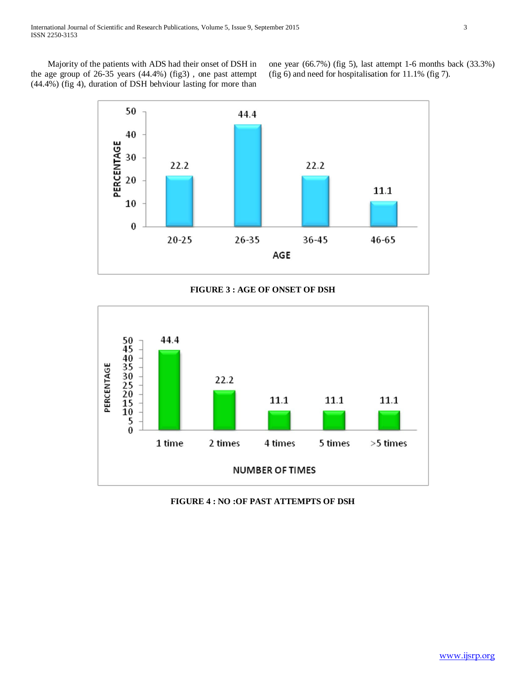Majority of the patients with ADS had their onset of DSH in the age group of 26-35 years (44.4%) (fig3) , one past attempt (44.4%) (fig 4), duration of DSH behviour lasting for more than one year (66.7%) (fig 5), last attempt 1-6 months back (33.3%) (fig 6) and need for hospitalisation for 11.1% (fig 7).



## **FIGURE 3 : AGE OF ONSET OF DSH**



## **FIGURE 4 : NO :OF PAST ATTEMPTS OF DSH**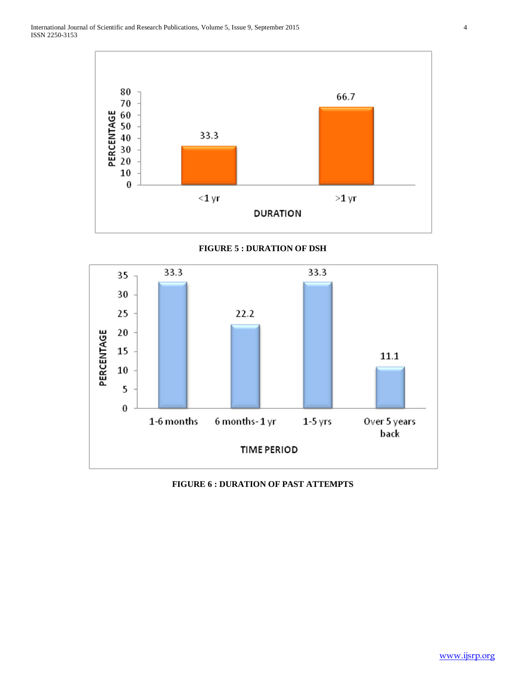International Journal of Scientific and Research Publications, Volume 5, Issue 9, September 2015 4 ISSN 2250-3153



## **FIGURE 5 : DURATION OF DSH**



## **FIGURE 6 : DURATION OF PAST ATTEMPTS**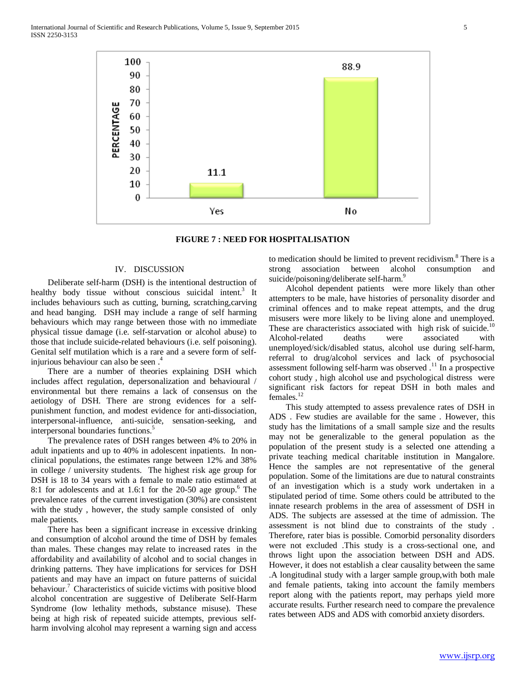International Journal of Scientific and Research Publications, Volume 5, Issue 9, September 2015 5 ISSN 2250-3153





## IV. DISCUSSION

 Deliberate self-harm (DSH) is the intentional destruction of healthy body tissue without conscious suicidal intent.<sup>3</sup> It includes behaviours such as cutting, burning, scratching,carving and head banging. DSH may include a range of self harming behaviours which may range between those with no immediate physical tissue damage (i.e. self-starvation or alcohol abuse) to those that include suicide-related behaviours (i.e. self poisoning). Genital self mutilation which is a rare and a severe form of selfinjurious behaviour can also be seen .4

 There are a number of theories explaining DSH which includes affect regulation, depersonalization and behavioural / environmental but there remains a lack of consensus on the aetiology of DSH. There are strong evidences for a selfpunishment function, and modest evidence for anti-dissociation, interpersonal-influence, anti-suicide, sensation-seeking, and interpersonal boundaries functions.<sup>5</sup>

 The prevalence rates of DSH ranges between 4% to 20% in adult inpatients and up to 40% in adolescent inpatients. In nonclinical populations, the estimates range between 12% and 38% in college / university students. The highest risk age group for DSH is 18 to 34 years with a female to male ratio estimated at 8:1 for adolescents and at 1.6:1 for the  $20-50$  age group.<sup>6</sup> The prevalence rates of the current investigation (30%) are consistent with the study , however, the study sample consisted of only male patients.

 There has been a significant increase in excessive drinking and consumption of alcohol around the time of DSH by females than males. These changes may relate to increased rates in the affordability and availability of alcohol and to social changes in drinking patterns. They have implications for services for DSH patients and may have an impact on future patterns of suicidal behaviour.<sup>7</sup> Characteristics of suicide victims with positive blood alcohol concentration are suggestive of Deliberate Self-Harm Syndrome (low lethality methods, substance misuse). These being at high risk of repeated suicide attempts, previous selfharm involving alcohol may represent a warning sign and access

to medication should be limited to prevent recidivism.<sup>8</sup> There is a strong association between alcohol consumption and suicide/poisoning/deliberate self-harm.<sup>9</sup>

 Alcohol dependent patients were more likely than other attempters to be male, have histories of personality disorder and criminal offences and to make repeat attempts, and the drug misusers were more likely to be living alone and unemployed. These are characteristics associated with high risk of suicide.<sup>10</sup> Alcohol-related deaths were associated with unemployed/sick/disabled status, alcohol use during self-harm, referral to drug/alcohol services and lack of psychosocial assessment following self-harm was observed  $.11$  In a prospective cohort study , high alcohol use and psychological distress were significant risk factors for repeat DSH in both males and females.<sup>12</sup>

 This study attempted to assess prevalence rates of DSH in ADS . Few studies are available for the same . However, this study has the limitations of a small sample size and the results may not be generalizable to the general population as the population of the present study is a selected one attending a private teaching medical charitable institution in Mangalore. Hence the samples are not representative of the general population. Some of the limitations are due to natural constraints of an investigation which is a study work undertaken in a stipulated period of time. Some others could be attributed to the innate research problems in the area of assessment of DSH in ADS. The subjects are assessed at the time of admission. The assessment is not blind due to constraints of the study . Therefore, rater bias is possible. Comorbid personality disorders were not excluded .This study is a cross-sectional one, and throws light upon the association between DSH and ADS. However, it does not establish a clear causality between the same .A longitudinal study with a larger sample group,with both male and female patients, taking into account the family members report along with the patients report, may perhaps yield more accurate results. Further research need to compare the prevalence rates between ADS and ADS with comorbid anxiety disorders.